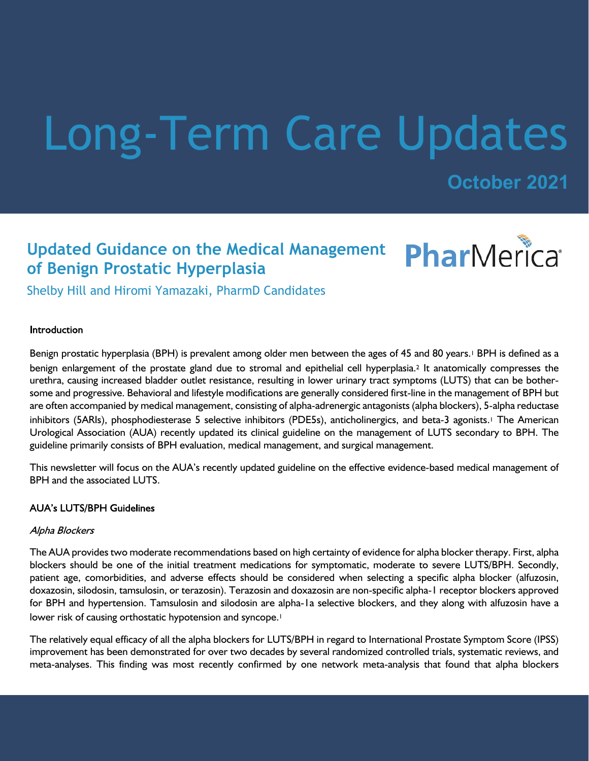# Long-Term Care Updates

**October 2021**

# **Updated Guidance on the Medical Management of Benign Prostatic Hyperplasia**



Shelby Hill and Hiromi Yamazaki, PharmD Candidates

### Introduction

Benign prostatic hyperplasia (BPH) is prevalent among older men between the ages of 45 and 80 years.<sup>1</sup> BPH is defined as a benign enlargement of the prostate gland due to stromal and epithelial cell hyperplasia.2 It anatomically compresses the urethra, causing increased bladder outlet resistance, resulting in lower urinary tract symptoms (LUTS) that can be bothersome and progressive. Behavioral and lifestyle modifications are generally considered first-line in the management of BPH but are often accompanied by medical management, consisting of alpha-adrenergic antagonists (alpha blockers), 5-alpha reductase inhibitors (5ARIs), phosphodiesterase 5 selective inhibitors (PDE5s), anticholinergics, and beta-3 agonists.<sup>1</sup> The American Urological Association (AUA) recently updated its clinical guideline on the management of LUTS secondary to BPH. The guideline primarily consists of BPH evaluation, medical management, and surgical management.

This newsletter will focus on the AUA's recently updated guideline on the effective evidence-based medical management of BPH and the associated LUTS.

### **AUA's LUTS/BPH Guidelines**

### Alpha Blockers

The AUA provides two moderate recommendations based on high certainty of evidence for alpha blocker therapy. First, alpha blockers should be one of the initial treatment medications for symptomatic, moderate to severe LUTS/BPH. Secondly, patient age, comorbidities, and adverse effects should be considered when selecting a specific alpha blocker (alfuzosin, doxazosin, silodosin, tamsulosin, or terazosin). Terazosin and doxazosin are non-specific alpha-1 receptor blockers approved for BPH and hypertension. Tamsulosin and silodosin are alpha-1a selective blockers, and they along with alfuzosin have a lower risk of causing orthostatic hypotension and syncope.<sup>1</sup>

The relatively equal efficacy of all the alpha blockers for LUTS/BPH in regard to International Prostate Symptom Score (IPSS) improvement has been demonstrated for over two decades by several randomized controlled trials, systematic reviews, and meta-analyses. This finding was most recently confirmed by one network meta-analysis that found that alpha blockers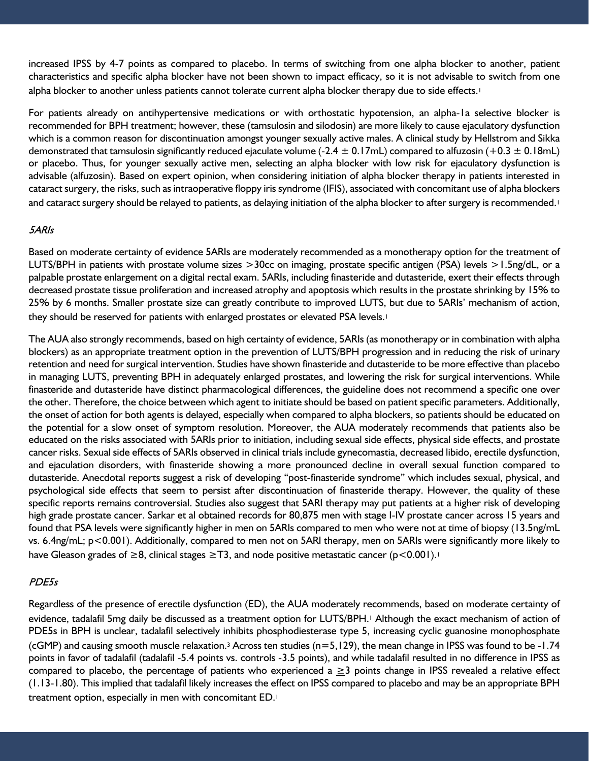increased IPSS by 4-7 points as compared to placebo. In terms of switching from one alpha blocker to another, patient characteristics and specific alpha blocker have not been shown to impact efficacy, so it is not advisable to switch from one alpha blocker to another unless patients cannot tolerate current alpha blocker therapy due to side effects.<sup>1</sup>

For patients already on antihypertensive medications or with orthostatic hypotension, an alpha-1a selective blocker is recommended for BPH treatment; however, these (tamsulosin and silodosin) are more likely to cause ejaculatory dysfunction which is a common reason for discontinuation amongst younger sexually active males. A clinical study by Hellstrom and Sikka demonstrated that tamsulosin significantly reduced ejaculate volume (-2.4  $\pm$  0.17mL) compared to alfuzosin (+0.3  $\pm$  0.18mL) or placebo. Thus, for younger sexually active men, selecting an alpha blocker with low risk for ejaculatory dysfunction is advisable (alfuzosin). Based on expert opinion, when considering initiation of alpha blocker therapy in patients interested in cataract surgery, the risks, such as intraoperative floppy iris syndrome (IFIS), associated with concomitant use of alpha blockers and cataract surgery should be relayed to patients, as delaying initiation of the alpha blocker to after surgery is recommended.<sup>1</sup>

#### 5ARIs

Based on moderate certainty of evidence 5ARIs are moderately recommended as a monotherapy option for the treatment of LUTS/BPH in patients with prostate volume sizes >30cc on imaging, prostate specific antigen (PSA) levels >1.5ng/dL, or a palpable prostate enlargement on a digital rectal exam. 5ARIs, including finasteride and dutasteride, exert their effects through decreased prostate tissue proliferation and increased atrophy and apoptosis which results in the prostate shrinking by 15% to 25% by 6 months. Smaller prostate size can greatly contribute to improved LUTS, but due to 5ARIs' mechanism of action, they should be reserved for patients with enlarged prostates or elevated PSA levels.<sup>1</sup>

The AUA also strongly recommends, based on high certainty of evidence, 5ARIs (as monotherapy or in combination with alpha blockers) as an appropriate treatment option in the prevention of LUTS/BPH progression and in reducing the risk of urinary retention and need for surgical intervention. Studies have shown finasteride and dutasteride to be more effective than placebo in managing LUTS, preventing BPH in adequately enlarged prostates, and lowering the risk for surgical interventions. While finasteride and dutasteride have distinct pharmacological differences, the guideline does not recommend a specific one over the other. Therefore, the choice between which agent to initiate should be based on patient specific parameters. Additionally, the onset of action for both agents is delayed, especially when compared to alpha blockers, so patients should be educated on the potential for a slow onset of symptom resolution. Moreover, the AUA moderately recommends that patients also be educated on the risks associated with 5ARIs prior to initiation, including sexual side effects, physical side effects, and prostate cancer risks. Sexual side effects of 5ARIs observed in clinical trials include gynecomastia, decreased libido, erectile dysfunction, and ejaculation disorders, with finasteride showing a more pronounced decline in overall sexual function compared to dutasteride. Anecdotal reports suggest a risk of developing "post-finasteride syndrome" which includes sexual, physical, and psychological side effects that seem to persist after discontinuation of finasteride therapy. However, the quality of these specific reports remains controversial. Studies also suggest that 5ARI therapy may put patients at a higher risk of developing high grade prostate cancer. Sarkar et al obtained records for 80,875 men with stage I-IV prostate cancer across 15 years and found that PSA levels were significantly higher in men on 5ARIs compared to men who were not at time of biopsy (13.5ng/mL vs. 6.4ng/mL; p<0.001). Additionally, compared to men not on 5ARI therapy, men on 5ARIs were significantly more likely to have Gleason grades of  $\geq$ 8, clinical stages  $\geq$ T3, and node positive metastatic cancer (p<0.001).<sup>1</sup>

### PDE5s

Regardless of the presence of erectile dysfunction (ED), the AUA moderately recommends, based on moderate certainty of evidence, tadalafil 5mg daily be discussed as a treatment option for LUTS/BPH.1 Although the exact mechanism of action of PDE5s in BPH is unclear, tadalafil selectively inhibits phosphodiesterase type 5, increasing cyclic guanosine monophosphate  $(cGMP)$  and causing smooth muscle relaxation.<sup>3</sup> Across ten studies  $(n=5,129)$ , the mean change in IPSS was found to be -1.74 points in favor of tadalafil (tadalafil -5.4 points vs. controls -3.5 points), and while tadalafil resulted in no difference in IPSS as compared to placebo, the percentage of patients who experienced a  $\geq$ 3 points change in IPSS revealed a relative effect (1.13-1.80). This implied that tadalafil likely increases the effect on IPSS compared to placebo and may be an appropriate BPH treatment option, especially in men with concomitant ED.1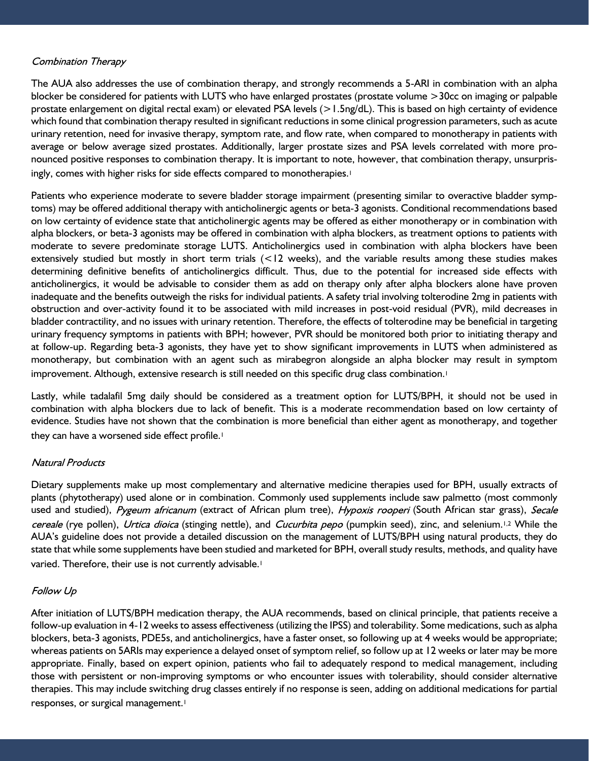## **Combination Therapy**

The AUA also addresses the use of combination therapy, and strongly recommends a 5-ARI in combination with an alpha blocker be considered for patients with LUTS who have enlarged prostates (prostate volume >30cc on imaging or palpable prostate enlargement on digital rectal exam) or elevated PSA levels (>1.5ng/dL). This is based on high certainty of evidence which found that combination therapy resulted in significant reductions in some clinical progression parameters, such as acute urinary retention, need for invasive therapy, symptom rate, and flow rate, when compared to monotherapy in patients with average or below average sized prostates. Additionally, larger prostate sizes and PSA levels correlated with more pronounced positive responses to combination therapy. It is important to note, however, that combination therapy, unsurprisingly, comes with higher risks for side effects compared to monotherapies.<sup>1</sup>

Patients who experience moderate to severe bladder storage impairment (presenting similar to overactive bladder symptoms) may be offered additional therapy with anticholinergic agents or beta-3 agonists. Conditional recommendations based on low certainty of evidence state that anticholinergic agents may be offered as either monotherapy or in combination with alpha blockers, or beta-3 agonists may be offered in combination with alpha blockers, as treatment options to patients with moderate to severe predominate storage LUTS. Anticholinergics used in combination with alpha blockers have been extensively studied but mostly in short term trials (<12 weeks), and the variable results among these studies makes determining definitive benefits of anticholinergics difficult. Thus, due to the potential for increased side effects with anticholinergics, it would be advisable to consider them as add on therapy only after alpha blockers alone have proven inadequate and the benefits outweigh the risks for individual patients. A safety trial involving tolterodine 2mg in patients with obstruction and over-activity found it to be associated with mild increases in post-void residual (PVR), mild decreases in bladder contractility, and no issues with urinary retention. Therefore, the effects of tolterodine may be beneficial in targeting urinary frequency symptoms in patients with BPH; however, PVR should be monitored both prior to initiating therapy and at follow-up. Regarding beta-3 agonists, they have yet to show significant improvements in LUTS when administered as monotherapy, but combination with an agent such as mirabegron alongside an alpha blocker may result in symptom improvement. Although, extensive research is still needed on this specific drug class combination.<sup>1</sup>

Lastly, while tadalafil 5mg daily should be considered as a treatment option for LUTS/BPH, it should not be used in combination with alpha blockers due to lack of benefit. This is a moderate recommendation based on low certainty of evidence. Studies have not shown that the combination is more beneficial than either agent as monotherapy, and together they can have a worsened side effect profile.<sup>1</sup>

### **Natural Products**

Dietary supplements make up most complementary and alternative medicine therapies used for BPH, usually extracts of plants (phytotherapy) used alone or in combination. Commonly used supplements include saw palmetto (most commonly used and studied), Pygeum africanum (extract of African plum tree), Hypoxis rooperi (South African star grass), Secale cereale (rye pollen), Urtica dioica (stinging nettle), and Cucurbita pepo (pumpkin seed), zinc, and selenium.<sup>1,2</sup> While the AUA's guideline does not provide a detailed discussion on the management of LUTS/BPH using natural products, they do state that while some supplements have been studied and marketed for BPH, overall study results, methods, and quality have varied. Therefore, their use is not currently advisable.<sup>1</sup>

### **Follow Up**

After initiation of LUTS/BPH medication therapy, the AUA recommends, based on clinical principle, that patients receive a follow-up evaluation in 4-12 weeks to assess effectiveness (utilizing the IPSS) and tolerability. Some medications, such as alpha blockers, beta-3 agonists, PDE5s, and anticholinergics, have a faster onset, so following up at 4 weeks would be appropriate; whereas patients on 5ARIs may experience a delayed onset of symptom relief, so follow up at 12 weeks or later may be more appropriate. Finally, based on expert opinion, patients who fail to adequately respond to medical management, including those with persistent or non-improving symptoms or who encounter issues with tolerability, should consider alternative therapies. This may include switching drug classes entirely if no response is seen, adding on additional medications for partial responses, or surgical management.<sup>1</sup>